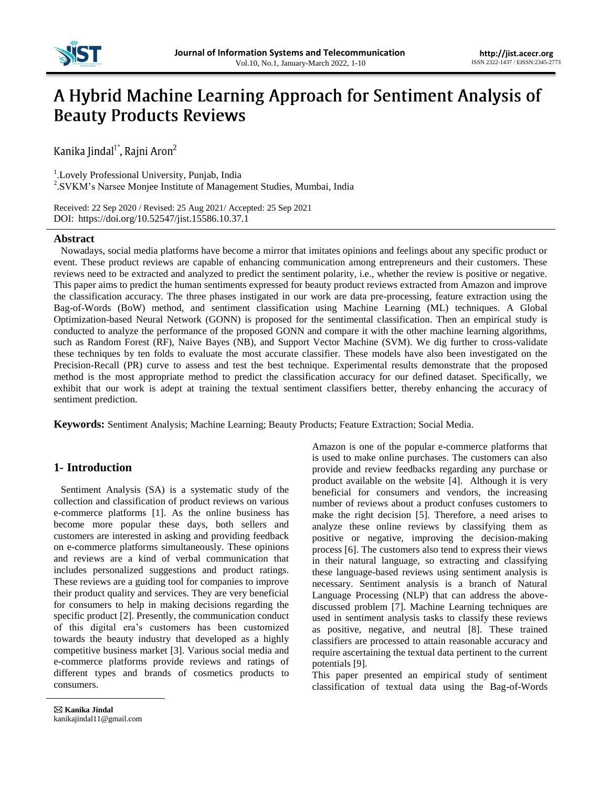

# A Hybrid Machine Learning Approach for Sentiment Analysis of **Beauty Products Reviews**

Kanika Jindal<sup>1\*</sup>, Rajni Aron<sup>2</sup>

<sup>1</sup>. Lovely Professional University, Punjab, India

<sup>2</sup>. SVKM's Narsee Monjee Institute of Management Studies, Mumbai, India

Received: 22 Sep 2020 / Revised: 25 Aug 2021/ Accepted: 25 Sep 2021<br>DOU: https://doi.org/10.52547/iist 15586 10.37 1 DOI: https://doi.org/10.52547/jist.15586.10.37.1

# **Abstract**

Nowadays, social media platforms have become a mirror that imitates opinions and feelings about any specific product or event. These product reviews are capable of enhancing communication among entrepreneurs and their customers. These reviews need to be extracted and analyzed to predict the sentiment polarity, i.e., whether the review is positive or negative. This paper aims to predict the human sentiments expressed for beauty product reviews extracted from Amazon and improve the classification accuracy. The three phases instigated in our work are data pre-processing, feature extraction using the Bag-of-Words (BoW) method, and sentiment classification using Machine Learning (ML) techniques. A Global Optimization-based Neural Network (GONN) is proposed for the sentimental classification. Then an empirical study is conducted to analyze the performance of the proposed GONN and compare it with the other machine learning algorithms, such as Random Forest (RF), Naive Bayes (NB), and Support Vector Machine (SVM). We dig further to cross-validate these techniques by ten folds to evaluate the most accurate classifier. These models have also been investigated on the Precision-Recall (PR) curve to assess and test the best technique. Experimental results demonstrate that the proposed method is the most appropriate method to predict the classification accuracy for our defined dataset. Specifically, we exhibit that our work is adept at training the textual sentiment classifiers better, thereby enhancing the accuracy of sentiment prediction.

**Keywords:** Sentiment Analysis; Machine Learning; Beauty Products; Feature Extraction; Social Media.

# **1- Introduction**

Sentiment Analysis (SA) is a systematic study of the collection and classification of product reviews on various e-commerce platforms [1]. As the online business has become more popular these days, both sellers and customers are interested in asking and providing feedback on e-commerce platforms simultaneously. These opinions and reviews are a kind of verbal communication that includes personalized suggestions and product ratings. These reviews are a guiding tool for companies to improve their product quality and services. They are very beneficial for consumers to help in making decisions regarding the specific product [2]. Presently, the communication conduct of this digital era"s customers has been customized towards the beauty industry that developed as a highly competitive business market [3]. Various social media and e-commerce platforms provide reviews and ratings of different types and brands of cosmetics products to consumers.

Amazon is one of the popular e-commerce platforms that is used to make online purchases. The customers can also provide and review feedbacks regarding any purchase or product available on the website [4]. Although it is very beneficial for consumers and vendors, the increasing number of reviews about a product confuses customers to make the right decision [5]. Therefore, a need arises to analyze these online reviews by classifying them as positive or negative, improving the decision-making process [6]. The customers also tend to express their views in their natural language, so extracting and classifying these language-based reviews using sentiment analysis is necessary. Sentiment analysis is a branch of Natural Language Processing (NLP) that can address the abovediscussed problem [7]. Machine Learning techniques are used in sentiment analysis tasks to classify these reviews as positive, negative, and neutral [8]. These trained classifiers are processed to attain reasonable accuracy and require ascertaining the textual data pertinent to the current potentials [9].

This paper presented an empirical study of sentiment classification of textual data using the Bag-of-Words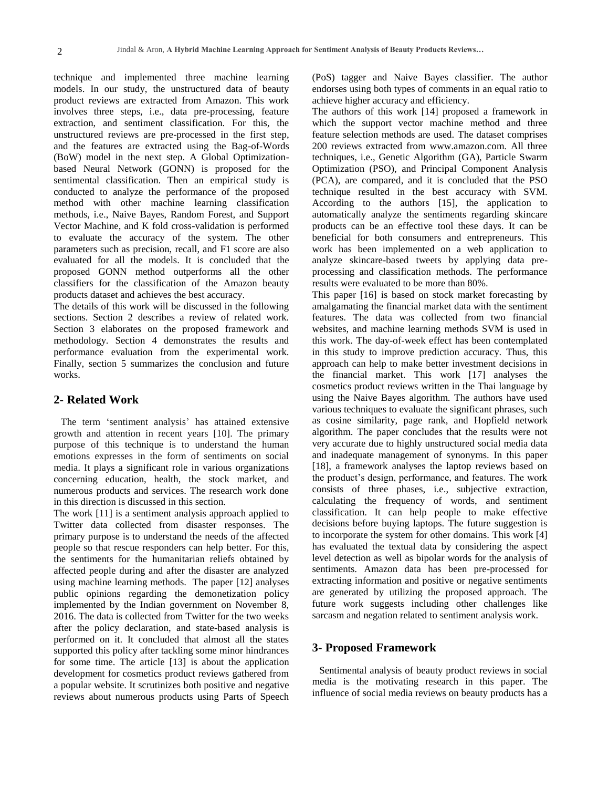technique and implemented three machine learning models. In our study, the unstructured data of beauty product reviews are extracted from Amazon. This work involves three steps, i.e., data pre-processing, feature extraction, and sentiment classification. For this, the unstructured reviews are pre-processed in the first step, and the features are extracted using the Bag-of-Words (BoW) model in the next step. A Global Optimizationbased Neural Network (GONN) is proposed for the sentimental classification. Then an empirical study is conducted to analyze the performance of the proposed method with other machine learning classification methods, i.e., Naive Bayes, Random Forest, and Support Vector Machine, and K fold cross-validation is performed to evaluate the accuracy of the system. The other parameters such as precision, recall, and F1 score are also evaluated for all the models. It is concluded that the proposed GONN method outperforms all the other classifiers for the classification of the Amazon beauty products dataset and achieves the best accuracy.

The details of this work will be discussed in the following sections. Section 2 describes a review of related work. Section 3 elaborates on the proposed framework and methodology. Section 4 demonstrates the results and performance evaluation from the experimental work. Finally, section 5 summarizes the conclusion and future works.

# **2- Related Work**

The term "sentiment analysis" has attained extensive growth and attention in recent years [10]. The primary purpose of this technique is to understand the human emotions expresses in the form of sentiments on social media. It plays a significant role in various organizations concerning education, health, the stock market, and numerous products and services. The research work done in this direction is discussed in this section.

The work [11] is a sentiment analysis approach applied to Twitter data collected from disaster responses. The primary purpose is to understand the needs of the affected people so that rescue responders can help better. For this, the sentiments for the humanitarian reliefs obtained by affected people during and after the disaster are analyzed using machine learning methods. The paper [12] analyses public opinions regarding the demonetization policy implemented by the Indian government on November 8, 2016. The data is collected from Twitter for the two weeks after the policy declaration, and state-based analysis is performed on it. It concluded that almost all the states supported this policy after tackling some minor hindrances for some time. The article [13] is about the application development for cosmetics product reviews gathered from a popular website. It scrutinizes both positive and negative reviews about numerous products using Parts of Speech

(PoS) tagger and Naive Bayes classifier. The author endorses using both types of comments in an equal ratio to achieve higher accuracy and efficiency.

The authors of this work [14] proposed a framework in which the support vector machine method and three feature selection methods are used. The dataset comprises 200 reviews extracted from www.amazon.com. All three techniques, i.e., Genetic Algorithm (GA), Particle Swarm Optimization (PSO), and Principal Component Analysis (PCA), are compared, and it is concluded that the PSO technique resulted in the best accuracy with SVM. According to the authors [15], the application to automatically analyze the sentiments regarding skincare products can be an effective tool these days. It can be beneficial for both consumers and entrepreneurs. This work has been implemented on a web application to analyze skincare-based tweets by applying data preprocessing and classification methods. The performance results were evaluated to be more than 80%.

This paper [16] is based on stock market forecasting by amalgamating the financial market data with the sentiment features. The data was collected from two financial websites, and machine learning methods SVM is used in this work. The day-of-week effect has been contemplated in this study to improve prediction accuracy. Thus, this approach can help to make better investment decisions in the financial market. This work [17] analyses the cosmetics product reviews written in the Thai language by using the Naive Bayes algorithm. The authors have used various techniques to evaluate the significant phrases, such as cosine similarity, page rank, and Hopfield network algorithm. The paper concludes that the results were not very accurate due to highly unstructured social media data and inadequate management of synonyms. In this paper [18], a framework analyses the laptop reviews based on the product"s design, performance, and features. The work consists of three phases, i.e., subjective extraction, calculating the frequency of words, and sentiment classification. It can help people to make effective decisions before buying laptops. The future suggestion is to incorporate the system for other domains. This work [4] has evaluated the textual data by considering the aspect level detection as well as bipolar words for the analysis of sentiments. Amazon data has been pre-processed for extracting information and positive or negative sentiments are generated by utilizing the proposed approach. The future work suggests including other challenges like sarcasm and negation related to sentiment analysis work.

## **3- Proposed Framework**

Sentimental analysis of beauty product reviews in social media is the motivating research in this paper. The influence of social media reviews on beauty products has a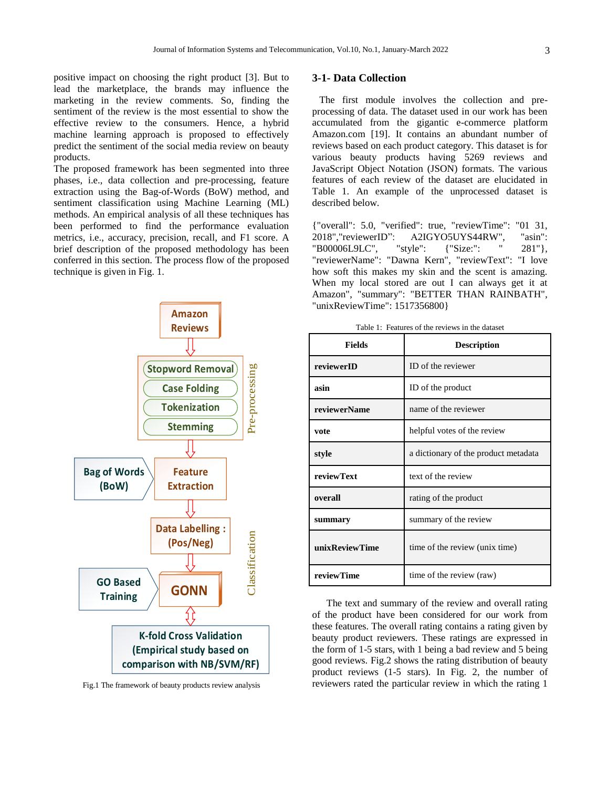positive impact on choosing the right product [3]. But to lead the marketplace, the brands may influence the

marketing in the review comments. So, finding the sentiment of the review is the most essential to show the effective review to the consumers. Hence, a hybrid machine learning approach is proposed to effectively predict the sentiment of the social media review on beauty products.

The proposed framework has been segmented into three phases, i.e., data collection and pre-processing, feature extraction using the Bag-of-Words (BoW) method, and sentiment classification using Machine Learning (ML) methods. An empirical analysis of all these techniques has been performed to find the performance evaluation metrics, i.e., accuracy, precision, recall, and F1 score. A brief description of the proposed methodology has been conferred in this section. The process flow of the proposed technique is given in Fig. 1.



Fig.1 The framework of beauty products review analysis

## **3-1- Data Collection**

The first module involves the collection and preprocessing of data. The dataset used in our work has been accumulated from the gigantic e-commerce platform Amazon.com [19]. It contains an abundant number of reviews based on each product category. This dataset is for various beauty products having 5269 reviews and JavaScript Object Notation (JSON) formats. The various features of each review of the dataset are elucidated in Table 1. An example of the unprocessed dataset is described below.

{"overall": 5.0, "verified": true, "reviewTime": "01 31, 2018","reviewerID": A2IGYO5UYS44RW", "asin": "B00006L9LC", "style": {"Size:": " 281"}, "reviewerName": "Dawna Kern", "reviewText": "I love how soft this makes my skin and the scent is amazing. When my local stored are out I can always get it at Amazon", "summary": "BETTER THAN RAINBATH", "unixReviewTime": 1517356800}

Table 1: Features of the reviews in the dataset

| <b>Fields</b>     | <b>Description</b>                   |  |  |
|-------------------|--------------------------------------|--|--|
| reviewerID        | ID of the reviewer                   |  |  |
| asin              | ID of the product                    |  |  |
| reviewerName      | name of the reviewer                 |  |  |
| vote              | helpful votes of the review          |  |  |
| style             | a dictionary of the product metadata |  |  |
| <b>reviewText</b> | text of the review                   |  |  |
| overall           | rating of the product                |  |  |
| summary           | summary of the review                |  |  |
| unixReviewTime    | time of the review (unix time)       |  |  |
| reviewTime        | time of the review (raw)             |  |  |

The text and summary of the review and overall rating of the product have been considered for our work from these features. The overall rating contains a rating given by beauty product reviewers. These ratings are expressed in the form of 1-5 stars, with 1 being a bad review and 5 being good reviews. Fig.2 shows the rating distribution of beauty product reviews (1-5 stars). In Fig. 2, the number of reviewers rated the particular review in which the rating 1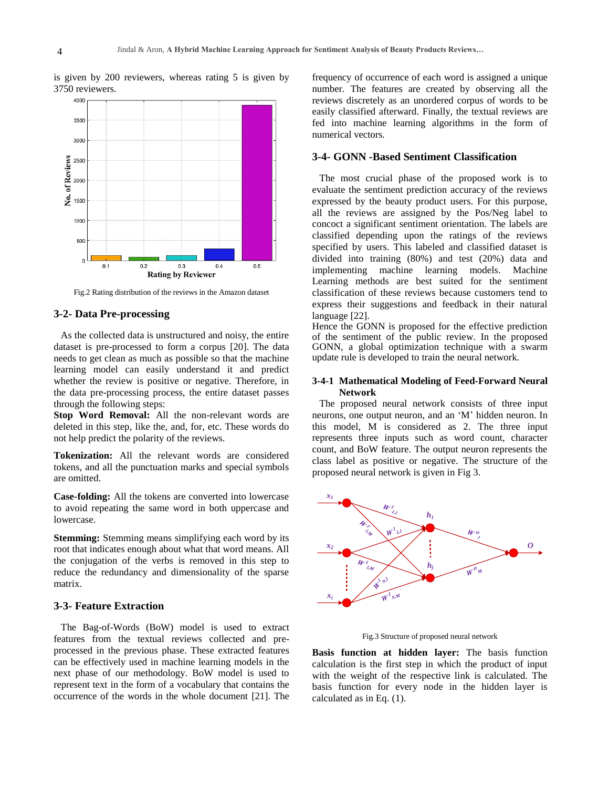is given by 200 reviewers, whereas rating 5 is given by 3750 reviewers.



Fig.2 Rating distribution of the reviews in the Amazon dataset

# **3-2- Data Pre-processing**

As the collected data is unstructured and noisy, the entire dataset is pre-processed to form a corpus [20]. The data needs to get clean as much as possible so that the machine learning model can easily understand it and predict whether the review is positive or negative. Therefore, in the data pre-processing process, the entire dataset passes through the following steps:

**Stop Word Removal:** All the non-relevant words are deleted in this step, like the, and, for, etc. These words do not help predict the polarity of the reviews.

**Tokenization:** All the relevant words are considered tokens, and all the punctuation marks and special symbols are omitted.

**Case-folding:** All the tokens are converted into lowercase to avoid repeating the same word in both uppercase and lowercase.

**Stemming:** Stemming means simplifying each word by its root that indicates enough about what that word means. All the conjugation of the verbs is removed in this step to reduce the redundancy and dimensionality of the sparse matrix.

## **3-3- Feature Extraction**

The Bag-of-Words (BoW) model is used to extract features from the textual reviews collected and preprocessed in the previous phase. These extracted features can be effectively used in machine learning models in the next phase of our methodology. BoW model is used to represent text in the form of a vocabulary that contains the occurrence of the words in the whole document [21]. The

frequency of occurrence of each word is assigned a unique number. The features are created by observing all the reviews discretely as an unordered corpus of words to be easily classified afterward. Finally, the textual reviews are fed into machine learning algorithms in the form of numerical vectors.

## **3-4- GONN -Based Sentiment Classification**

The most crucial phase of the proposed work is to evaluate the sentiment prediction accuracy of the reviews expressed by the beauty product users. For this purpose, all the reviews are assigned by the Pos/Neg label to concoct a significant sentiment orientation. The labels are classified depending upon the ratings of the reviews specified by users. This labeled and classified dataset is divided into training (80%) and test (20%) data and implementing machine learning models. Machine Learning methods are best suited for the sentiment classification of these reviews because customers tend to express their suggestions and feedback in their natural language [22].

Hence the GONN is proposed for the effective prediction of the sentiment of the public review. In the proposed GONN, a global optimization technique with a swarm update rule is developed to train the neural network.

#### **3-4-1 Mathematical Modeling of Feed-Forward Neural Network**

The proposed neural network consists of three input neurons, one output neuron, and an "M" hidden neuron. In this model, M is considered as 2. The three input represents three inputs such as word count, character count, and BoW feature. The output neuron represents the class label as positive or negative. The structure of the proposed neural network is given in Fig 3.



Fig.3 Structure of proposed neural network

**Basis function at hidden layer:** The basis function calculation is the first step in which the product of input with the weight of the respective link is calculated. The basis function for every node in the hidden layer is calculated as in Eq. (1).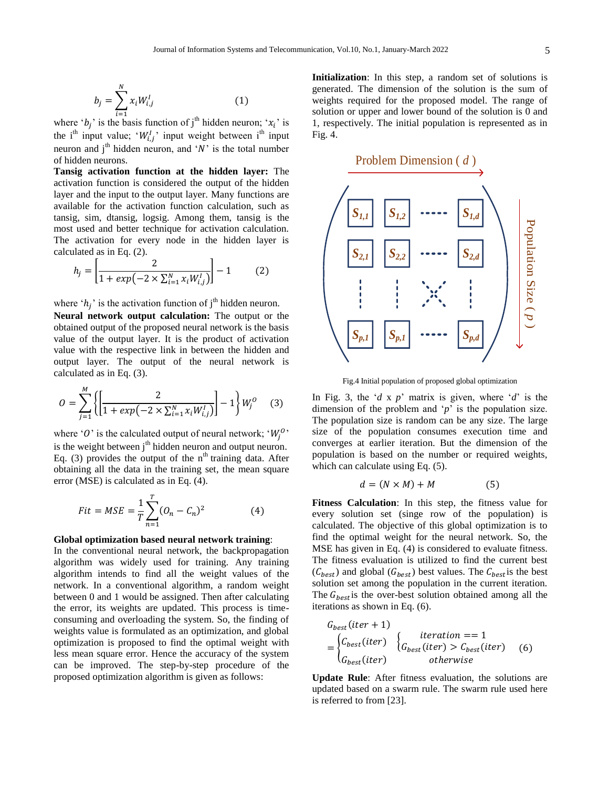$$
b_j = \sum_{i=1}^{N} x_i W_{i,j}^I
$$
 (1)

where ' $b_i$ ' is the basis function of j<sup>th</sup> hidden neuron; ' $x_i$ ' is the i<sup>th</sup> input value; ' $W_i^I$ ' input weight between i<sup>th</sup> input neuron and  $j<sup>th</sup>$  hidden neuron, and 'N' is the total number of hidden neurons.

**Tansig activation function at the hidden layer:** The activation function is considered the output of the hidden layer and the input to the output layer. Many functions are available for the activation function calculation, such as tansig, sim, dtansig, logsig. Among them, tansig is the most used and better technique for activation calculation. The activation for every node in the hidden layer is calculated as in Eq. (2).

$$
h_j = \left[\frac{2}{1 + exp(-2 \times \sum_{i=1}^{N} x_i W_{i,j}^I)}\right] - 1
$$
 (2)

where ' $h_i$ ' is the activation function of j<sup>th</sup> hidden neuron.

**Neural network output calculation:** The output or the obtained output of the proposed neural network is the basis value of the output layer. It is the product of activation value with the respective link in between the hidden and output layer. The output of the neural network is calculated as in Eq. (3).

$$
O = \sum_{j=1}^{M} \left\{ \left[ \frac{2}{1 + exp(-2 \times \sum_{i=1}^{N} x_i W_{i,j}^I)} \right] - 1 \right\} W_j^O \quad (3)
$$

where 'O' is the calculated output of neural network; ' $W_i^0$ ' is the weight between  $j<sup>th</sup>$  hidden neuron and output neuron. Eq. (3) provides the output of the  $n<sup>th</sup>$  training data. After obtaining all the data in the training set, the mean square error (MSE) is calculated as in Eq. (4).

$$
Fit = MSE = \frac{1}{T} \sum_{n=1}^{T} (O_n - C_n)^2
$$
 (4)

#### **Global optimization based neural network training**:

In the conventional neural network, the backpropagation algorithm was widely used for training. Any training algorithm intends to find all the weight values of the network. In a conventional algorithm, a random weight between 0 and 1 would be assigned. Then after calculating the error, its weights are updated. This process is timeconsuming and overloading the system. So, the finding of weights value is formulated as an optimization, and global optimization is proposed to find the optimal weight with less mean square error. Hence the accuracy of the system can be improved. The step-by-step procedure of the proposed optimization algorithm is given as follows:

**Initialization**: In this step, a random set of solutions is generated. The dimension of the solution is the sum of weights required for the proposed model. The range of solution or upper and lower bound of the solution is 0 and 1, respectively. The initial population is represented as in Fig. 4.

Problem Dimension ( *d* )  $S_{I,I}$   $|S_{I,2}|$  **.....**  $|S_{I,d}|$ Population Size ( *p* Population Size (p  $S_{2,1}$   $S_{2,2}$  **S**<sub>2,2</sub>  $S_{3,3}$  $\checkmark$  $S_{p,1}$   $S_{p,1}$   $\cdots$   $S_{p,d}$ 

Fig.4 Initial population of proposed global optimization

In Fig. 3, the  $d \times p'$  matrix is given, where  $d'$  is the dimension of the problem and  $\gamma$  is the population size. The population size is random can be any size. The large size of the population consumes execution time and converges at earlier iteration. But the dimension of the population is based on the number or required weights, which can calculate using Eq.  $(5)$ .

$$
d = (N \times M) + M \tag{5}
$$

**Fitness Calculation**: In this step, the fitness value for every solution set (singe row of the population) is calculated. The objective of this global optimization is to find the optimal weight for the neural network. So, the MSE has given in Eq. (4) is considered to evaluate fitness. The fitness evaluation is utilized to find the current best  $(C_{best})$  and global  $(G_{best})$  best values. The  $C_{best}$  is the best solution set among the population in the current iteration. The  $G_{best}$  is the over-best solution obtained among all the iterations as shown in Eq. (6).

$$
G_{best}(iter + 1)
$$
\n
$$
= \begin{cases} C_{best}(iter) & iteration == 1 \\ G_{best}(iter) > C_{best}(iter) \\ G_{best}(iter) & otherwise \end{cases} \tag{6}
$$

**Update Rule**: After fitness evaluation, the solutions are updated based on a swarm rule. The swarm rule used here is referred to from [23].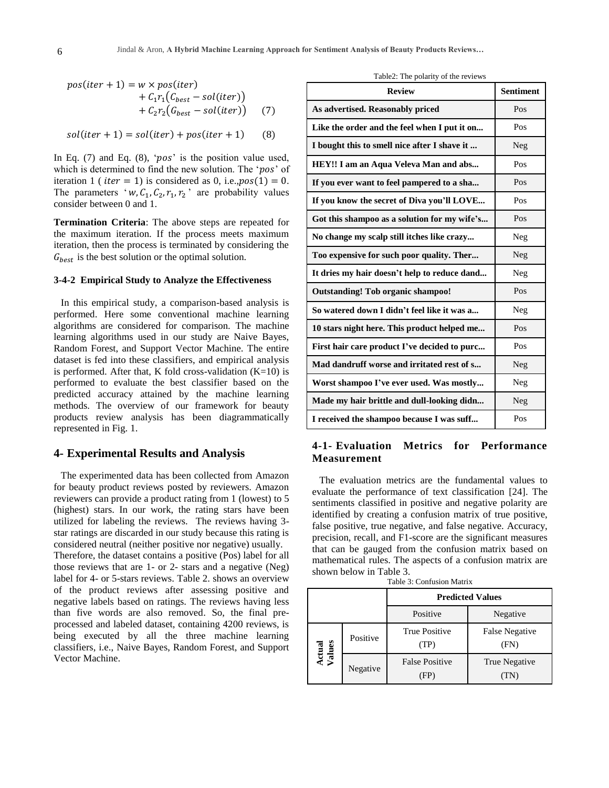$$
pos(iter + 1) = w \times pos(iter)
$$
  
+  $C_1r_1(C_{best} - sol(iter))$   
+  $C_2r_2(G_{best} - sol(iter))$  (7)

$$
sol(iter + 1) = sol(iter) + pos(iter + 1)
$$
 (8)

In Eq.  $(7)$  and Eq.  $(8)$ , ' $pos$ ' is the position value used, which is determined to find the new solution. The ' $pos$ ' of iteration 1 (*iter* = 1) is considered as 0, i.e.,  $pos(1) = 0$ . The parameters 'w,  $C_1$ ,  $C_2$ ,  $r_1$ ,  $r_2$ ' are probability values consider between 0 and 1.

**Termination Criteria**: The above steps are repeated for the maximum iteration. If the process meets maximum iteration, then the process is terminated by considering the  $G_{best}$  is the best solution or the optimal solution.

#### **3-4-2 Empirical Study to Analyze the Effectiveness**

In this empirical study, a comparison-based analysis is performed. Here some conventional machine learning algorithms are considered for comparison. The machine learning algorithms used in our study are Naive Bayes, Random Forest, and Support Vector Machine. The entire dataset is fed into these classifiers, and empirical analysis is performed. After that, K fold cross-validation  $(K=10)$  is performed to evaluate the best classifier based on the predicted accuracy attained by the machine learning methods. The overview of our framework for beauty products review analysis has been diagrammatically represented in Fig. 1.

## **4- Experimental Results and Analysis**

The experimented data has been collected from Amazon for beauty product reviews posted by reviewers. Amazon reviewers can provide a product rating from 1 (lowest) to 5 (highest) stars. In our work, the rating stars have been utilized for labeling the reviews. The reviews having 3 star ratings are discarded in our study because this rating is considered neutral (neither positive nor negative) usually. Therefore, the dataset contains a positive (Pos) label for all those reviews that are 1- or 2- stars and a negative (Neg) label for 4- or 5-stars reviews. Table 2. shows an overview of the product reviews after assessing positive and negative labels based on ratings. The reviews having less than five words are also removed. So, the final preprocessed and labeled dataset, containing 4200 reviews, is being executed by all the three machine learning classifiers, i.e., Naive Bayes, Random Forest, and Support Vector Machine.

| <b>Review</b>                                | <b>Sentiment</b> |
|----------------------------------------------|------------------|
| As advertised. Reasonably priced             | Pos              |
| Like the order and the feel when I put it on | Pos              |
| I bought this to smell nice after I shave it | Neg              |
| HEY!! I am an Aqua Veleva Man and abs        | Pos              |
| If you ever want to feel pampered to a sha   | Pos              |
| If you know the secret of Diva you'll LOVE   | Pos              |
| Got this shampoo as a solution for my wife's | Pos              |
| No change my scalp still itches like crazy   | Neg              |
| Too expensive for such poor quality. Ther    | Neg              |
| It dries my hair doesn't help to reduce dand | Neg              |
| <b>Outstanding! Tob organic shampoo!</b>     | Pos              |
| So watered down I didn't feel like it was a  | Neg              |
| 10 stars night here. This product helped me  | Pos              |
| First hair care product I've decided to purc | Pos              |
| Mad dandruff worse and irritated rest of s   | Neg              |
| Worst shampoo I've ever used. Was mostly     | Neg              |
| Made my hair brittle and dull-looking didn   | Neg              |
| I received the shampoo because I was suff    | Pos              |

# **4-1- Evaluation Metrics for Performance Measurement**

The evaluation metrics are the fundamental values to evaluate the performance of text classification [24]. The sentiments classified in positive and negative polarity are identified by creating a confusion matrix of true positive, false positive, true negative, and false negative. Accuracy, precision, recall, and F1-score are the significant measures that can be gauged from the confusion matrix based on mathematical rules. The aspects of a confusion matrix are shown below in Table 3.

| Table 3: Confusion Matrix |  |
|---------------------------|--|
|---------------------------|--|

|                  |          | <b>Predicted Values</b>       |                        |
|------------------|----------|-------------------------------|------------------------|
|                  |          | Positive                      | Negative               |
| actual<br>Values | Positive | <b>True Positive</b><br>(TP)  | False Negative<br>(FN) |
|                  | Negative | <b>False Positive</b><br>‹FP› | True Negative          |

Table2: The polarity of the reviews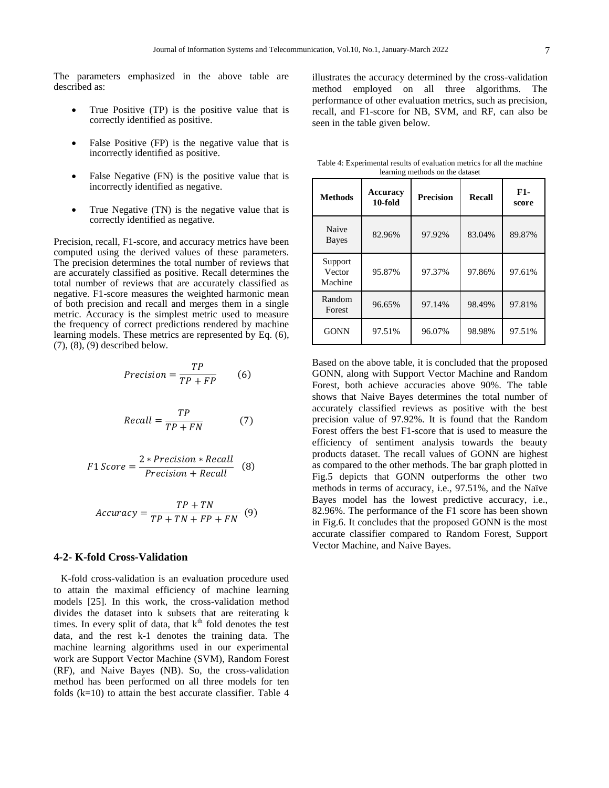The parameters emphasized in the above table are described as:

- True Positive (TP) is the positive value that is correctly identified as positive.
- False Positive (FP) is the negative value that is incorrectly identified as positive.
- False Negative (FN) is the positive value that is incorrectly identified as negative.
- True Negative (TN) is the negative value that is correctly identified as negative.

Precision, recall, F1-score, and accuracy metrics have been computed using the derived values of these parameters. The precision determines the total number of reviews that are accurately classified as positive. Recall determines the total number of reviews that are accurately classified as negative. F1-score measures the weighted harmonic mean of both precision and recall and merges them in a single metric. Accuracy is the simplest metric used to measure the frequency of correct predictions rendered by machine learning models. These metrics are represented by Eq. (6), (7), (8), (9) described below.

$$
Precision = \frac{TP}{TP + FP}
$$
 (6)

$$
Recall = \frac{TP}{TP + FN} \tag{7}
$$

$$
F1 \text{ Score} = \frac{2 * Precision * Recall}{Precision + Recall} \quad (8)
$$

$$
Accuracy = \frac{TP + TN}{TP + TN + FP + FN} \text{ (9)}
$$

## **4-2- K-fold Cross-Validation**

K-fold cross-validation is an evaluation procedure used to attain the maximal efficiency of machine learning models [25]. In this work, the cross-validation method divides the dataset into k subsets that are reiterating k times. In every split of data, that  $k<sup>th</sup>$  fold denotes the test data, and the rest k-1 denotes the training data. The machine learning algorithms used in our experimental work are Support Vector Machine (SVM), Random Forest (RF), and Naive Bayes (NB). So, the cross-validation method has been performed on all three models for ten folds (k=10) to attain the best accurate classifier. Table 4

illustrates the accuracy determined by the cross-validation method employed on all three algorithms. The performance of other evaluation metrics, such as precision, recall, and F1-score for NB, SVM, and RF, can also be seen in the table given below.

Table 4: Experimental results of evaluation metrics for all the machine learning methods on the dataset

| <b>Methods</b>               | <b>Accuracy</b><br>10-fold | <b>Precision</b> | <b>Recall</b> | F1-<br>score |
|------------------------------|----------------------------|------------------|---------------|--------------|
| Naive<br><b>Bayes</b>        | 82.96%                     | 97.92%           | 83.04%        | 89.87%       |
| Support<br>Vector<br>Machine | 95.87%                     | 97.37%           | 97.86%        | 97.61%       |
| Random<br>Forest             | 96.65%                     | 97.14%           | 98.49%        | 97.81%       |
| <b>GONN</b>                  | 97.51%                     | 96.07%           | 98.98%        | 97.51%       |

Based on the above table, it is concluded that the proposed GONN, along with Support Vector Machine and Random Forest, both achieve accuracies above 90%. The table shows that Naive Bayes determines the total number of accurately classified reviews as positive with the best precision value of 97.92%. It is found that the Random Forest offers the best F1-score that is used to measure the efficiency of sentiment analysis towards the beauty products dataset. The recall values of GONN are highest as compared to the other methods. The bar graph plotted in Fig.5 depicts that GONN outperforms the other two methods in terms of accuracy, i.e., 97.51%, and the Naïve Bayes model has the lowest predictive accuracy, i.e., 82.96%. The performance of the F1 score has been shown in Fig.6. It concludes that the proposed GONN is the most accurate classifier compared to Random Forest, Support Vector Machine, and Naive Bayes.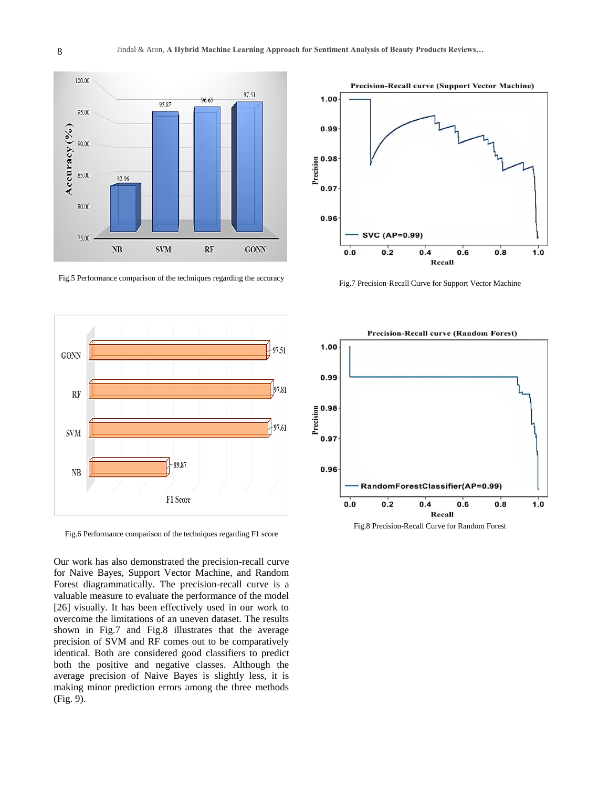

Fig.5 Performance comparison of the techniques regarding the accuracy



Fig.6 Performance comparison of the techniques regarding F1 score

Our work has also demonstrated the precision-recall curve for Naive Bayes, Support Vector Machine, and Random Forest diagrammatically. The precision-recall curve is a valuable measure to evaluate the performance of the model [26] visually. It has been effectively used in our work to overcome the limitations of an uneven dataset. The results shown in Fig.7 and Fig.8 illustrates that the average precision of SVM and RF comes out to be comparatively identical. Both are considered good classifiers to predict both the positive and negative classes. Although the average precision of Naive Bayes is slightly less, it is making minor prediction errors among the three methods (Fig. 9).



Fig.7 Precision-Recall Curve for Support Vector Machine



Fig.8 Precision-Recall Curve for Random Forest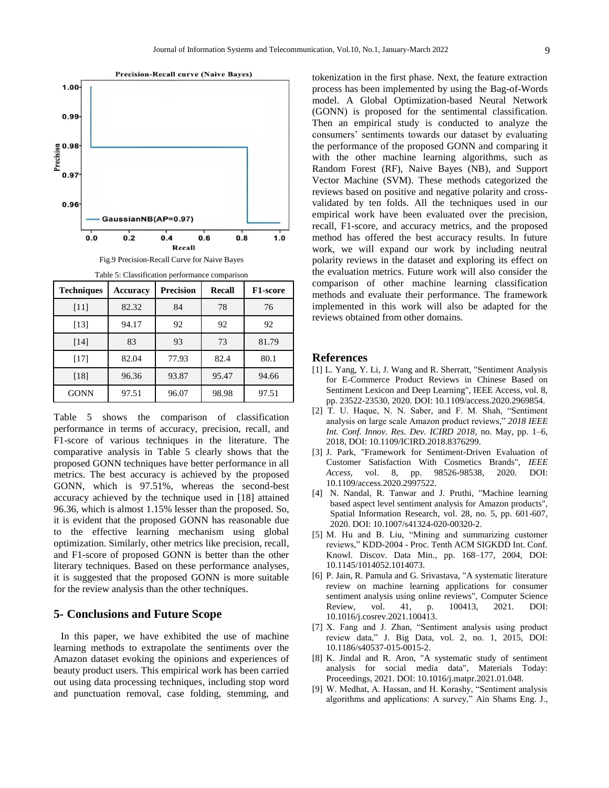

Fig.9 Precision-Recall Curve for Naive Bayes Table 5: Classification performance comparison

| rapic 5. Chassineation performance comparison<br><b>Techniques</b> | <b>Accuracy</b> | <b>Precision</b> | <b>Recall</b> | F1-score |
|--------------------------------------------------------------------|-----------------|------------------|---------------|----------|
| [11]                                                               | 82.32           | 84               | 78            | 76       |
| $[13]$                                                             | 94.17           | 92               | 92            | 92       |
| [14]                                                               | 83              | 93               | 73            | 81.79    |
| $[17]$                                                             | 82.04           | 77.93            | 82.4          | 80.1     |
| [18]                                                               | 96.36           | 93.87            | 95.47         | 94.66    |
| <b>GONN</b>                                                        | 97.51           | 96.07            | 98.98         | 97.51    |

Table 5 shows the comparison of classification performance in terms of accuracy, precision, recall, and F1-score of various techniques in the literature. The comparative analysis in Table 5 clearly shows that the proposed GONN techniques have better performance in all metrics. The best accuracy is achieved by the proposed GONN, which is 97.51%, whereas the second-best accuracy achieved by the technique used in [18] attained 96.36, which is almost 1.15% lesser than the proposed. So, it is evident that the proposed GONN has reasonable due to the effective learning mechanism using global optimization. Similarly, other metrics like precision, recall, and F1-score of proposed GONN is better than the other literary techniques. Based on these performance analyses, it is suggested that the proposed GONN is more suitable for the review analysis than the other techniques.

## **5- Conclusions and Future Scope**

In this paper, we have exhibited the use of machine learning methods to extrapolate the sentiments over the Amazon dataset evoking the opinions and experiences of beauty product users. This empirical work has been carried out using data processing techniques, including stop word and punctuation removal, case folding, stemming, and

tokenization in the first phase. Next, the feature extraction process has been implemented by using the Bag-of-Words model. A Global Optimization-based Neural Network (GONN) is proposed for the sentimental classification. Then an empirical study is conducted to analyze the consumers" sentiments towards our dataset by evaluating the performance of the proposed GONN and comparing it with the other machine learning algorithms, such as Random Forest (RF), Naive Bayes (NB), and Support Vector Machine (SVM). These methods categorized the reviews based on positive and negative polarity and crossvalidated by ten folds. All the techniques used in our empirical work have been evaluated over the precision, recall, F1-score, and accuracy metrics, and the proposed method has offered the best accuracy results. In future work, we will expand our work by including neutral polarity reviews in the dataset and exploring its effect on the evaluation metrics. Future work will also consider the comparison of other machine learning classification methods and evaluate their performance. The framework implemented in this work will also be adapted for the reviews obtained from other domains.

#### **References**

- [1] L. Yang, Y. Li, J. Wang and R. Sherratt, "Sentiment Analysis for E-Commerce Product Reviews in Chinese Based on Sentiment Lexicon and Deep Learning", IEEE Access, vol. 8, pp. 23522-23530, 2020. DOI: 10.1109/access.2020.2969854.
- [2] T. U. Haque, N. N. Saber, and F. M. Shah, "Sentiment analysis on large scale Amazon product reviews," *2018 IEEE Int. Conf. Innov. Res. Dev. ICIRD 2018*, no. May, pp. 1–6, 2018, DOI: 10.1109/ICIRD.2018.8376299.
- [3] J. Park, "Framework for Sentiment-Driven Evaluation of Customer Satisfaction With Cosmetics Brands", *IEEE Access*, vol. 8, pp. 98526-98538, 2020. DOI: 10.1109/access.2020.2997522.
- [4] N. Nandal, R. Tanwar and J. Pruthi, "Machine learning based aspect level sentiment analysis for Amazon products", Spatial Information Research, vol. 28, no. 5, pp. 601-607, 2020. DOI: 10.1007/s41324-020-00320-2.
- [5] M. Hu and B. Liu, "Mining and summarizing customer reviews," KDD-2004 - Proc. Tenth ACM SIGKDD Int. Conf. Knowl. Discov. Data Min., pp. 168–177, 2004, DOI: 10.1145/1014052.1014073.
- [6] P. Jain, R. Pamula and G. Srivastava, "A systematic literature review on machine learning applications for consumer sentiment analysis using online reviews", Computer Science Review, vol. 41, p. 100413, 2021. DOI: 10.1016/j.cosrev.2021.100413.
- [7] X. Fang and J. Zhan, "Sentiment analysis using product review data," J. Big Data, vol. 2, no. 1, 2015, DOI: 10.1186/s40537-015-0015-2.
- [8] K. Jindal and R. Aron, "A systematic study of sentiment analysis for social media data", Materials Today: Proceedings, 2021. DOI: 10.1016/j.matpr.2021.01.048.
- [9] W. Medhat, A. Hassan, and H. Korashy, "Sentiment analysis algorithms and applications: A survey," Ain Shams Eng. J.,